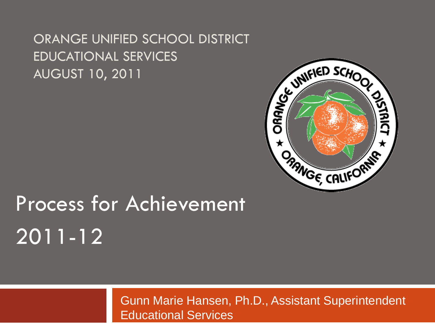EDUCATIONAL SERVICES AUGUST 10, 2011



# Process for Achievement 2011-12

Gunn Marie Hansen, Ph.D., Assistant Superintendent Educational Services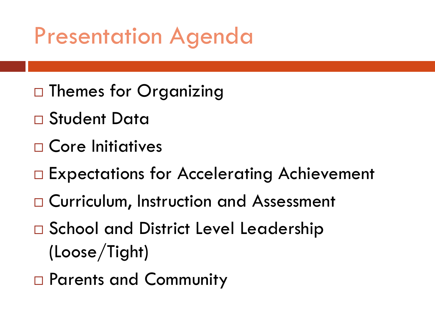#### Presentation Agenda

- □ Themes for Organizing
- Student Data
- □ Core Initiatives
- □ Expectations for Accelerating Achievement
- □ Curriculum, Instruction and Assessment
- □ School and District Level Leadership (Loose/Tight)
- □ Parents and Community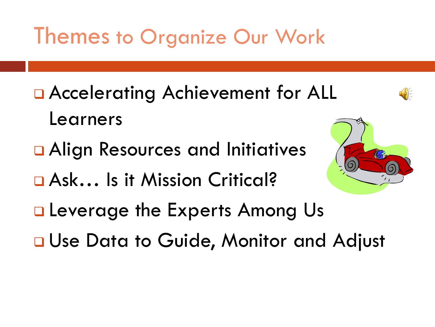#### Themes to Organize Our Work

- □ Accelerating Achievement for ALL Learners
- Align Resources and Initiatives
- Ask… Is it Mission Critical?
- **Leverage the Experts Among Us**
- **Q** Use Data to Guide, Monitor and Adjust

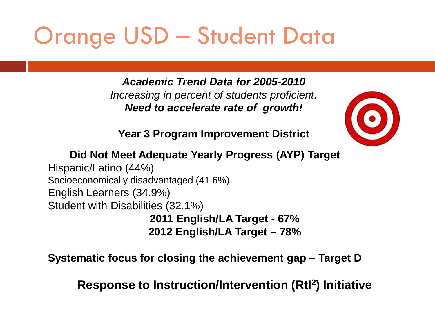## Orange USD – Student Data

*Academic Trend Data for 2005-2010 Increasing in percent of students proficient. Need to accelerate rate of growth!*



**Year 3 Program Improvement District**

**Did Not Meet Adequate Yearly Progress (AYP) Target**

Hispanic/Latino (44%) Socioeconomically disadvantaged (41.6%) English Learners (34.9%) Student with Disabilities (32.1%) **2011 English/LA Target - 67% 2012 English/LA Target – 78%**

**Systematic focus for closing the achievement gap – Target D**

**Response to Instruction/Intervention (RtI2) Initiative**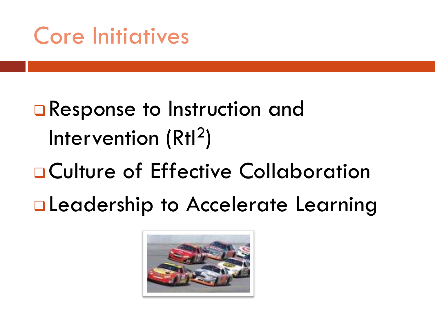#### Core Initiatives

## **□ Response to Instruction and** Intervention (Rtl<sup>2</sup>)

# Culture of Effective Collaboration **QLeadership to Accelerate Learning**

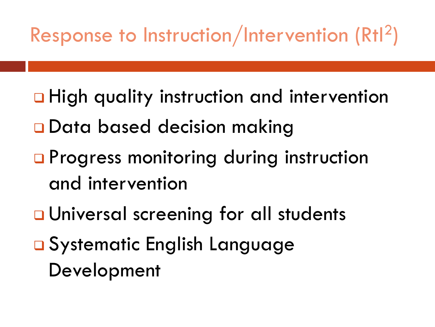#### Response to Instruction/Intervention (RtI2)

- □ High quality instruction and intervention
- **Q** Data based decision making
- **Progress monitoring during instruction** and intervention
- **u** Universal screening for all students
- Systematic English Language Development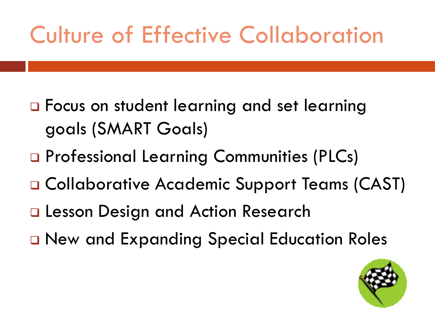# Culture of Effective Collaboration

- □ Focus on student learning and set learning goals (SMART Goals)
- □ Professional Learning Communities (PLCs)
- □ Collaborative Academic Support Teams (CAST)
- □ Lesson Design and Action Research
- □ New and Expanding Special Education Roles

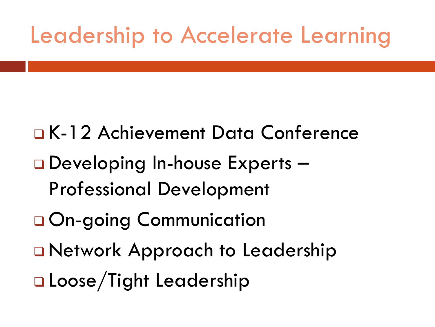## Leadership to Accelerate Learning

 K-12 Achievement Data Conference □ Developing In-house Experts – Professional Development **□ On-going Communication**  Network Approach to Leadership Loose/Tight Leadership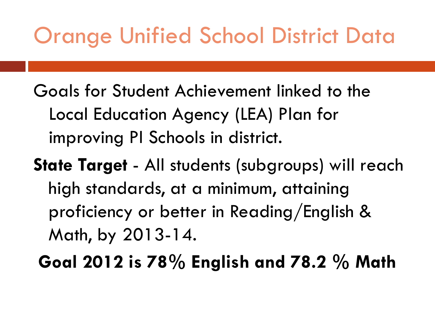#### Orange Unified School District Data

Goals for Student Achievement linked to the Local Education Agency (LEA) Plan for improving PI Schools in district.

**State Target** - All students (subgroups) will reach high standards, at a minimum, attaining proficiency or better in Reading/English & Math, by 2013-14.

**Goal 2012 is 78% English and 78.2 % Math**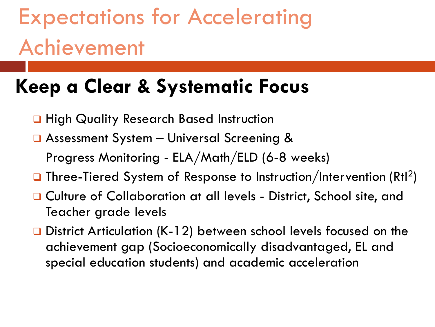## Expectations for Accelerating Achievement

#### **Keep a Clear & Systematic Focus**

- **□ High Quality Research Based Instruction**
- Assessment System Universal Screening &

Progress Monitoring - ELA/Math/ELD (6-8 weeks)

- **Three-Tiered System of Response to Instruction/Intervention (Rtl<sup>2</sup>)**
- □ Culture of Collaboration at all levels District, School site, and Teacher grade levels
- □ District Articulation (K-12) between school levels focused on the achievement gap (Socioeconomically disadvantaged, EL and special education students) and academic acceleration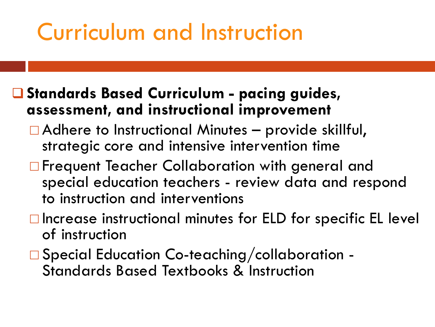## Curriculum and Instruction

#### **Standards Based Curriculum - pacing guides, assessment, and instructional improvement**

- $\Box$  Adhere to Instructional Minutes provide skillful, strategic core and intensive intervention time
- □ Frequent Teacher Collaboration with general and special education teachers - review data and respond to instruction and interventions
- $\Box$  Increase instructional minutes for ELD for specific EL level of instruction
- Special Education Co-teaching/collaboration Standards Based Textbooks & Instruction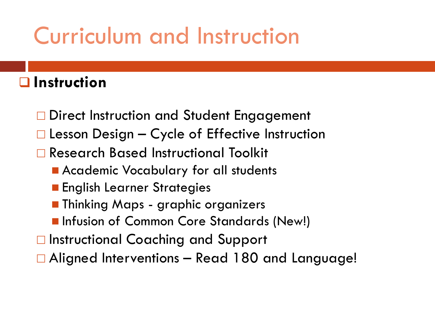## Curriculum and Instruction

#### **Instruction**

- □ Direct Instruction and Student Engagement
- $\Box$  Lesson Design Cycle of Effective Instruction
- Research Based Instructional Toolkit
	- **Academic Vocabulary for all students**
	- **English Learner Strategies**
	- **Thinking Maps graphic organizers**
	- **Infusion of Common Core Standards (New!)**
- □ Instructional Coaching and Support
- □ Aligned Interventions Read 180 and Language!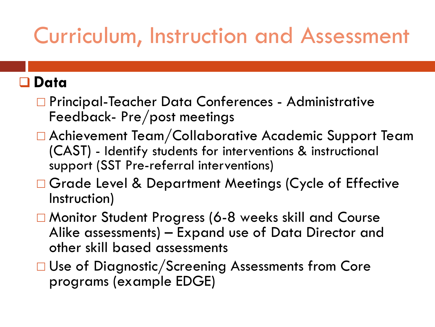#### Curriculum, Instruction and Assessment

#### **Data**

- Principal-Teacher Data Conferences Administrative Feedback- Pre/post meetings
- Achievement Team/Collaborative Academic Support Team (CAST) - Identify students for interventions & instructional support (SST Pre-referral interventions)
- □ Grade Level & Department Meetings (Cycle of Effective Instruction)
- Monitor Student Progress (6-8 weeks skill and Course Alike assessments) – Expand use of Data Director and other skill based assessments
- □ Use of Diagnostic/Screening Assessments from Core programs (example EDGE)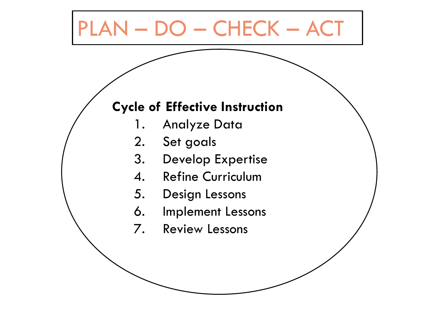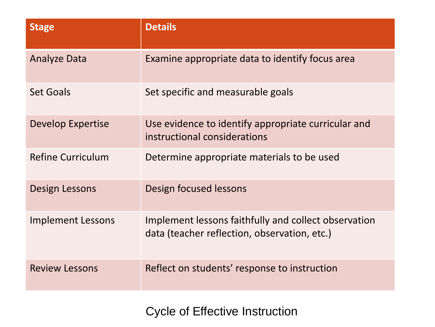| <b>Stage</b>             | <b>Details</b>                                                                                       |
|--------------------------|------------------------------------------------------------------------------------------------------|
| <b>Analyze Data</b>      | Examine appropriate data to identify focus area                                                      |
| Set Goals                | Set specific and measurable goals                                                                    |
| <b>Develop Expertise</b> | Use evidence to identify appropriate curricular and<br>instructional considerations                  |
| <b>Refine Curriculum</b> | Determine appropriate materials to be used                                                           |
| <b>Design Lessons</b>    | Design focused lessons                                                                               |
| <b>Implement Lessons</b> | Implement lessons faithfully and collect observation<br>data (teacher reflection, observation, etc.) |
| <b>Review Lessons</b>    | Reflect on students' response to instruction                                                         |

Cycle of Effective Instruction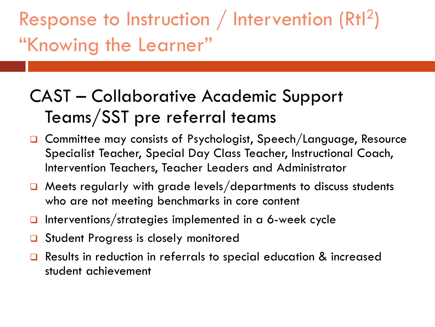Response to Instruction / Intervention  $(RtI<sup>2</sup>)$ "Knowing the Learner"

#### CAST – Collaborative Academic Support Teams/SST pre referral teams

- Committee may consists of Psychologist, Speech/Language, Resource Specialist Teacher, Special Day Class Teacher, Instructional Coach, Intervention Teachers, Teacher Leaders and Administrator
- □ Meets regularly with grade levels/departments to discuss students who are not meeting benchmarks in core content
- Interventions/strategies implemented in a 6-week cycle
- **Q** Student Progress is closely monitored
- **□** Results in reduction in referrals to special education & increased student achievement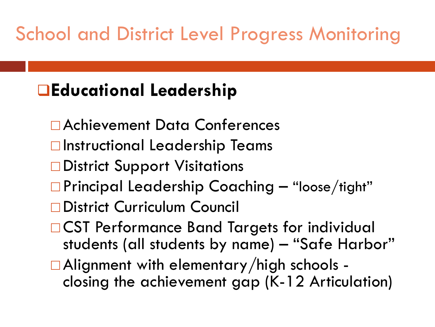#### School and District Level Progress Monitoring

#### **Educational Leadership**

- Achievement Data Conferences
- □ Instructional Leadership Teams
- **□District Support Visitations**
- Principal Leadership Coaching "loose/tight"
- District Curriculum Council
- □ CST Performance Band Targets for individual students (all students by name) – "Safe Harbor"
- $\Box$  Alignment with elementary/high schools -<br>closing the achievement gap (K-12 Articulation)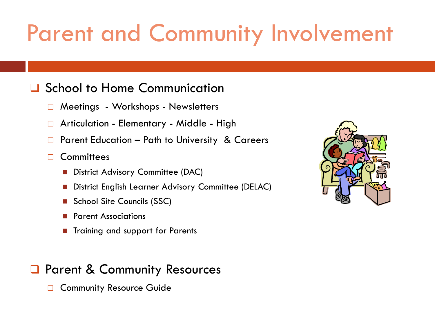## Parent and Community Involvement

#### **□** School to Home Communication

- □ Meetings Workshops Newsletters
- □ Articulation Elementary Middle High
- Parent Education Path to University & Careers
- □ Committees
	- **District Advisory Committee (DAC)**
	- District English Learner Advisory Committee (DELAC)
	- School Site Councils (SSC)
	- Parent Associations
	- Training and support for Parents

#### **Q** Parent & Community Resources

Community Resource Guide

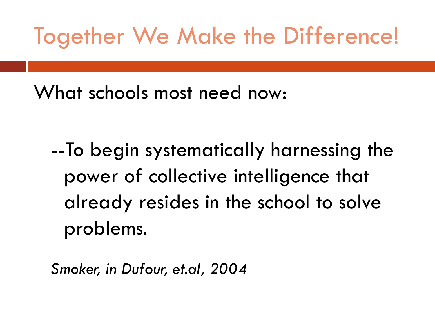## Together We Make the Difference!

What schools most need now:

--To begin systematically harnessing the power of collective intelligence that already resides in the school to solve problems.

*Smoker, in Dufour, et.al, 2004*